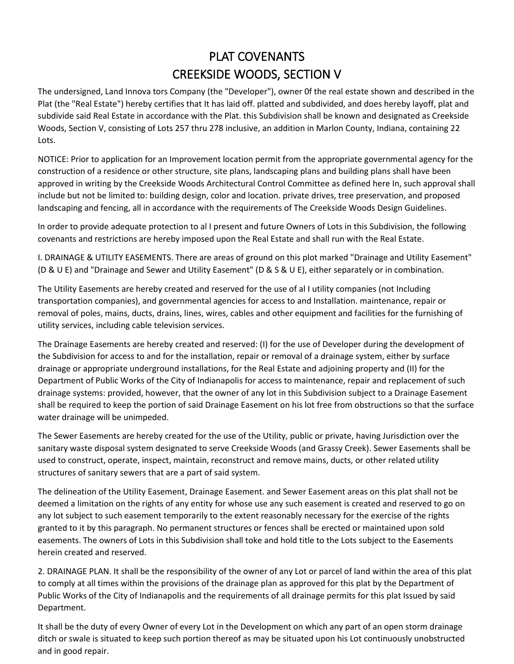## PLAT COVENANTS CREEKSIDE WOODS, SECTION V

The undersigned, Land Innova tors Company (the "Developer"), owner 0f the real estate shown and described in the Plat (the "Real Estate") hereby certifies that It has laid off. platted and subdivided, and does hereby layoff, plat and subdivide said Real Estate in accordance with the Plat. this Subdivision shall be known and designated as Creekside Woods, Section V, consisting of Lots 257 thru 278 inclusive, an addition in Marlon County, Indiana, containing 22 Lots.

NOTICE: Prior to application for an Improvement location permit from the appropriate governmental agency for the construction of a residence or other structure, site plans, landscaping plans and building plans shall have been approved in writing by the Creekside Woods Architectural Control Committee as defined here In, such approval shall include but not be limited to: building design, color and location. private drives, tree preservation, and proposed landscaping and fencing, all in accordance with the requirements of The Creekside Woods Design Guidelines.

In order to provide adequate protection to al I present and future Owners of Lots in this Subdivision, the following covenants and restrictions are hereby imposed upon the Real Estate and shall run with the Real Estate.

I. DRAINAGE & UTILITY EASEMENTS. There are areas of ground on this plot marked "Drainage and Utility Easement" (D & U E) and "Drainage and Sewer and Utility Easement" (D & S & U E), either separately or in combination.

The Utility Easements are hereby created and reserved for the use of al I utility companies (not Including transportation companies), and governmental agencies for access to and Installation. maintenance, repair or removal of poles, mains, ducts, drains, lines, wires, cables and other equipment and facilities for the furnishing of utility services, including cable television services.

The Drainage Easements are hereby created and reserved: (I) for the use of Developer during the development of the Subdivision for access to and for the installation, repair or removal of a drainage system, either by surface drainage or appropriate underground installations, for the Real Estate and adjoining property and (II) for the Department of Public Works of the City of Indianapolis for access to maintenance, repair and replacement of such drainage systems: provided, however, that the owner of any lot in this Subdivision subject to a Drainage Easement shall be required to keep the portion of said Drainage Easement on his lot free from obstructions so that the surface water drainage will be unimpeded.

The Sewer Easements are hereby created for the use of the Utility, public or private, having Jurisdiction over the sanitary waste disposal system designated to serve Creekside Woods (and Grassy Creek). Sewer Easements shall be used to construct, operate, inspect, maintain, reconstruct and remove mains, ducts, or other related utility structures of sanitary sewers that are a part of said system.

The delineation of the Utility Easement, Drainage Easement. and Sewer Easement areas on this plat shall not be deemed a limitation on the rights of any entity for whose use any such easement is created and reserved to go on any lot subject to such easement temporarily to the extent reasonably necessary for the exercise of the rights granted to it by this paragraph. No permanent structures or fences shall be erected or maintained upon sold easements. The owners of Lots in this Subdivision shall toke and hold title to the Lots subject to the Easements herein created and reserved.

2. DRAINAGE PLAN. It shall be the responsibility of the owner of any Lot or parcel of land within the area of this plat to comply at all times within the provisions of the drainage plan as approved for this plat by the Department of Public Works of the City of Indianapolis and the requirements of all drainage permits for this plat Issued by said Department.

It shall be the duty of every Owner of every Lot in the Development on which any part of an open storm drainage ditch or swale is situated to keep such portion thereof as may be situated upon his Lot continuously unobstructed and in good repair.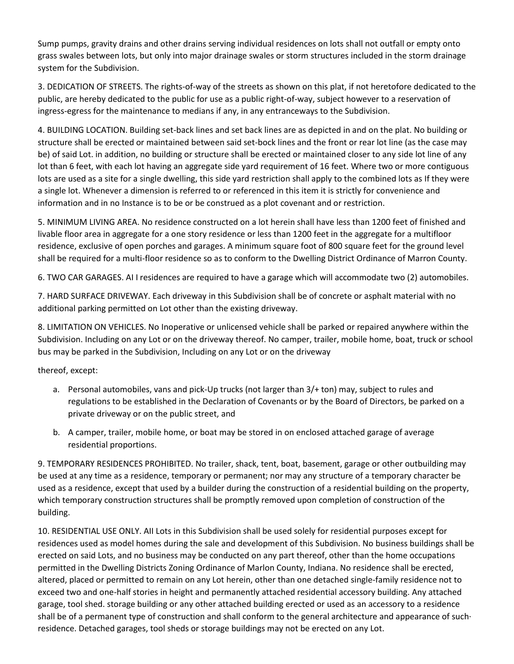Sump pumps, gravity drains and other drains serving individual residences on lots shall not outfall or empty onto grass swales between lots, but only into major drainage swales or storm structures included in the storm drainage system for the Subdivision.

3. DEDICATION OF STREETS. The rights-of-way of the streets as shown on this plat, if not heretofore dedicated to the public, are hereby dedicated to the public for use as a public right-of-way, subject however to a reservation of ingress-egress for the maintenance to medians if any, in any entranceways to the Subdivision.

4. BUILDING LOCATION. Building set-back lines and set back lines are as depicted in and on the plat. No building or structure shall be erected or maintained between said set-bock lines and the front or rear lot line (as the case may be) of said Lot. in addition, no building or structure shall be erected or maintained closer to any side lot line of any lot than 6 feet, with each lot having an aggregate side yard requirement of 16 feet. Where two or more contiguous lots are used as a site for a single dwelling, this side yard restriction shall apply to the combined lots as If they were a single lot. Whenever a dimension is referred to or referenced in this item it is strictly for convenience and information and in no Instance is to be or be construed as a plot covenant and or restriction.

5. MINIMUM LIVING AREA. No residence constructed on a lot herein shall have less than 1200 feet of finished and livable floor area in aggregate for a one story residence or less than 1200 feet in the aggregate for a multifloor residence, exclusive of open porches and garages. A minimum square foot of 800 square feet for the ground level shall be required for a multi-floor residence so as to conform to the Dwelling District Ordinance of Marron County.

6. TWO CAR GARAGES. AI I residences are required to have a garage which will accommodate two (2) automobiles.

7. HARD SURFACE DRIVEWAY. Each driveway in this Subdivision shall be of concrete or asphalt material with no additional parking permitted on Lot other than the existing driveway.

8. LIMITATION ON VEHICLES. No Inoperative or unlicensed vehicle shall be parked or repaired anywhere within the Subdivision. Including on any Lot or on the driveway thereof. No camper, trailer, mobile home, boat, truck or school bus may be parked in the Subdivision, Including on any Lot or on the driveway

thereof, except:

- a. Personal automobiles, vans and pick-Up trucks (not larger than 3/+ ton) may, subject to rules and regulations to be established in the Declaration of Covenants or by the Board of Directors, be parked on a private driveway or on the public street, and
- b. A camper, trailer, mobile home, or boat may be stored in on enclosed attached garage of average residential proportions.

9. TEMPORARY RESIDENCES PROHIBITED. No trailer, shack, tent, boat, basement, garage or other outbuilding may be used at any time as a residence, temporary or permanent; nor may any structure of a temporary character be used as a residence, except that used by a builder during the construction of a residential building on the property, which temporary construction structures shall be promptly removed upon completion of construction of the building.

10. RESIDENTIAL USE ONLY. AII Lots in this Subdivision shall be used solely for residential purposes except for residences used as model homes during the sale and development of this Subdivision. No business buildings shall be erected on said Lots, and no business may be conducted on any part thereof, other than the home occupations permitted in the Dwelling Districts Zoning Ordinance of Marlon County, Indiana. No residence shall be erected, altered, placed or permitted to remain on any Lot herein, other than one detached single-family residence not to exceed two and one-half stories in height and permanently attached residential accessory building. Any attached garage, tool shed. storage building or any other attached building erected or used as an accessory to a residence shall be of a permanent type of construction and shall conform to the general architecture and appearance of such· residence. Detached garages, tool sheds or storage buildings may not be erected on any Lot.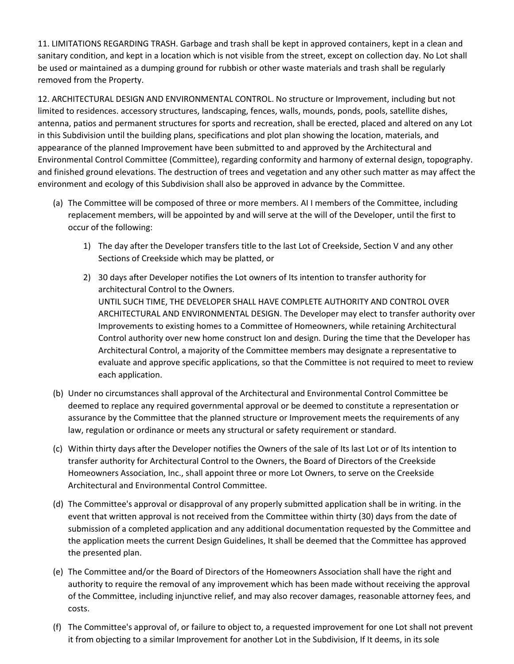11. LIMITATIONS REGARDING TRASH. Garbage and trash shall be kept in approved containers, kept in a clean and sanitary condition, and kept in a location which is not visible from the street, except on collection day. No Lot shall be used or maintained as a dumping ground for rubbish or other waste materials and trash shall be regularly removed from the Property.

12. ARCHITECTURAL DESIGN AND ENVIRONMENTAL CONTROL. No structure or Improvement, including but not limited to residences. accessory structures, landscaping, fences, walls, mounds, ponds, pools, satellite dishes, antenna, patios and permanent structures for sports and recreation, shall be erected, placed and altered on any Lot in this Subdivision until the building plans, specifications and plot plan showing the location, materials, and appearance of the planned Improvement have been submitted to and approved by the Architectural and Environmental Control Committee (Committee), regarding conformity and harmony of external design, topography. and finished ground elevations. The destruction of trees and vegetation and any other such matter as may affect the environment and ecology of this Subdivision shall also be approved in advance by the Committee.

- (a) The Committee will be composed of three or more members. AI I members of the Committee, including replacement members, will be appointed by and will serve at the will of the Developer, until the first to occur of the following:
	- 1) The day after the Developer transfers title to the last Lot of Creekside, Section V and any other Sections of Creekside which may be platted, or
	- 2) 30 days after Developer notifies the Lot owners of Its intention to transfer authority for architectural Control to the Owners. UNTIL SUCH TIME, THE DEVELOPER SHALL HAVE COMPLETE AUTHORITY AND CONTROL OVER ARCHITECTURAL AND ENVIRONMENTAL DESIGN. The Developer may elect to transfer authority over Improvements to existing homes to a Committee of Homeowners, while retaining Architectural Control authority over new home construct Ion and design. During the time that the Developer has Architectural Control, a majority of the Committee members may designate a representative to evaluate and approve specific applications, so that the Committee is not required to meet to review each application.
- (b) Under no circumstances shall approval of the Architectural and Environmental Control Committee be deemed to replace any required governmental approval or be deemed to constitute a representation or assurance by the Committee that the planned structure or Improvement meets the requirements of any law, regulation or ordinance or meets any structural or safety requirement or standard.
- (c) Within thirty days after the Developer notifies the Owners of the sale of Its last Lot or of Its intention to transfer authority for Architectural Control to the Owners, the Board of Directors of the Creekside Homeowners Association, Inc., shall appoint three or more Lot Owners, to serve on the Creekside Architectural and Environmental Control Committee.
- (d) The Committee's approval or disapproval of any properly submitted application shall be in writing. in the event that written approval is not received from the Committee within thirty (30) days from the date of submission of a completed application and any additional documentation requested by the Committee and the application meets the current Design Guidelines, It shall be deemed that the Committee has approved the presented plan.
- (e) The Committee and/or the Board of Directors of the Homeowners Association shall have the right and authority to require the removal of any improvement which has been made without receiving the approval of the Committee, including injunctive relief, and may also recover damages, reasonable attorney fees, and costs.
- (f) The Committee's approval of, or failure to object to, a requested improvement for one Lot shall not prevent it from objecting to a similar Improvement for another Lot in the Subdivision, If It deems, in its sole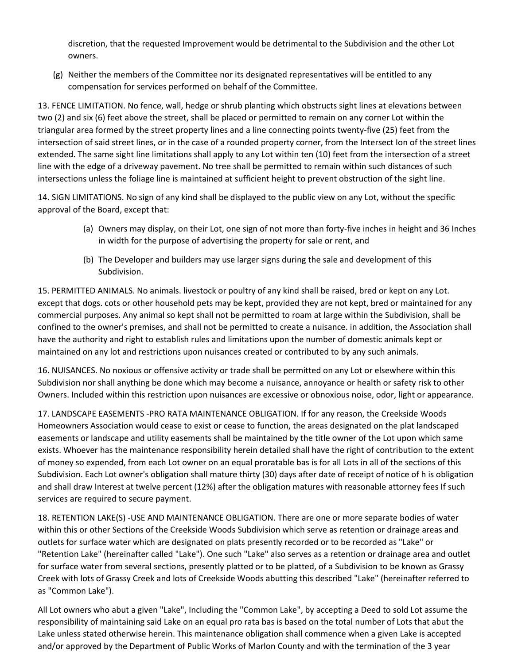discretion, that the requested Improvement would be detrimental to the Subdivision and the other Lot owners.

(g) Neither the members of the Committee nor its designated representatives will be entitled to any compensation for services performed on behalf of the Committee.

13. FENCE LIMITATION. No fence, wall, hedge or shrub planting which obstructs sight lines at elevations between two (2) and six (6) feet above the street, shall be placed or permitted to remain on any corner Lot within the triangular area formed by the street property lines and a line connecting points twenty-five (25) feet from the intersection of said street lines, or in the case of a rounded property corner, from the Intersect Ion of the street lines extended. The same sight line limitations shall apply to any Lot within ten (10) feet from the intersection of a street line with the edge of a driveway pavement. No tree shall be permitted to remain within such distances of such intersections unless the foliage line is maintained at sufficient height to prevent obstruction of the sight line.

14. SIGN LIMITATIONS. No sign of any kind shall be displayed to the public view on any Lot, without the specific approval of the Board, except that:

- (a) Owners may display, on their Lot, one sign of not more than forty-five inches in height and 36 Inches in width for the purpose of advertising the property for sale or rent, and
- (b) The Developer and builders may use larger signs during the sale and development of this Subdivision.

15. PERMITTED ANIMALS. No animals. livestock or poultry of any kind shall be raised, bred or kept on any Lot. except that dogs. cots or other household pets may be kept, provided they are not kept, bred or maintained for any commercial purposes. Any animal so kept shall not be permitted to roam at large within the Subdivision, shall be confined to the owner's premises, and shall not be permitted to create a nuisance. in addition, the Association shall have the authority and right to establish rules and limitations upon the number of domestic animals kept or maintained on any lot and restrictions upon nuisances created or contributed to by any such animals.

16. NUISANCES. No noxious or offensive activity or trade shall be permitted on any Lot or elsewhere within this Subdivision nor shall anything be done which may become a nuisance, annoyance or health or safety risk to other Owners. Included within this restriction upon nuisances are excessive or obnoxious noise, odor, light or appearance.

17. LANDSCAPE EASEMENTS -PRO RATA MAINTENANCE OBLIGATION. If for any reason, the Creekside Woods Homeowners Association would cease to exist or cease to function, the areas designated on the plat landscaped easements or landscape and utility easements shall be maintained by the title owner of the Lot upon which same exists. Whoever has the maintenance responsibility herein detailed shall have the right of contribution to the extent of money so expended, from each Lot owner on an equal proratable bas is for all Lots in all of the sections of this Subdivision. Each Lot owner's obligation shall mature thirty (30) days after date of receipt of notice of h is obligation and shall draw Interest at twelve percent (12%) after the obligation matures with reasonable attorney fees If such services are required to secure payment.

18. RETENTION LAKE(S) -USE AND MAINTENANCE OBLIGATION. There are one or more separate bodies of water within this or other Sections of the Creekside Woods Subdivision which serve as retention or drainage areas and outlets for surface water which are designated on plats presently recorded or to be recorded as "Lake" or "Retention Lake" (hereinafter called "Lake"). One such "Lake" also serves as a retention or drainage area and outlet for surface water from several sections, presently platted or to be platted, of a Subdivision to be known as Grassy Creek with lots of Grassy Creek and lots of Creekside Woods abutting this described "Lake" (hereinafter referred to as "Common Lake").

All Lot owners who abut a given "Lake", Including the "Common Lake", by accepting a Deed to sold Lot assume the responsibility of maintaining said Lake on an equal pro rata bas is based on the total number of Lots that abut the Lake unless stated otherwise herein. This maintenance obligation shall commence when a given Lake is accepted and/or approved by the Department of Public Works of Marlon County and with the termination of the 3 year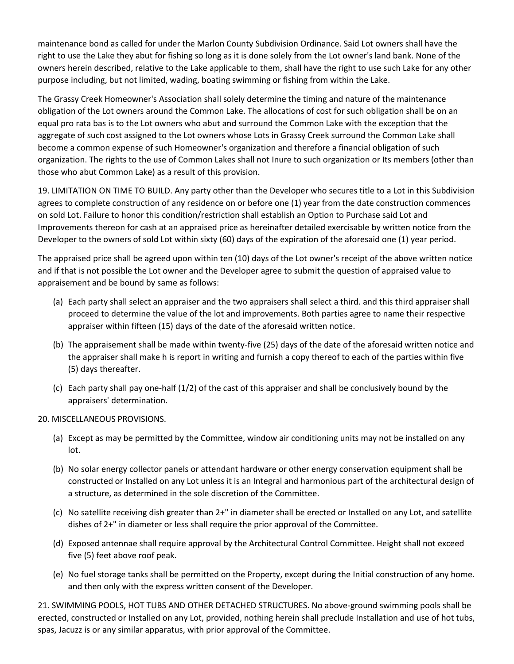maintenance bond as called for under the Marlon County Subdivision Ordinance. Said Lot owners shall have the right to use the Lake they abut for fishing so long as it is done solely from the Lot owner's land bank. None of the owners herein described, relative to the Lake applicable to them, shall have the right to use such Lake for any other purpose including, but not limited, wading, boating swimming or fishing from within the Lake.

The Grassy Creek Homeowner's Association shall solely determine the timing and nature of the maintenance obligation of the Lot owners around the Common Lake. The allocations of cost for such obligation shall be on an equal pro rata bas is to the Lot owners who abut and surround the Common Lake with the exception that the aggregate of such cost assigned to the Lot owners whose Lots in Grassy Creek surround the Common Lake shall become a common expense of such Homeowner's organization and therefore a financial obligation of such organization. The rights to the use of Common Lakes shall not Inure to such organization or Its members (other than those who abut Common Lake) as a result of this provision.

19. LIMITATION ON TIME TO BUILD. Any party other than the Developer who secures title to a Lot in this Subdivision agrees to complete construction of any residence on or before one (1) year from the date construction commences on sold Lot. Failure to honor this condition/restriction shall establish an Option to Purchase said Lot and Improvements thereon for cash at an appraised price as hereinafter detailed exercisable by written notice from the Developer to the owners of sold Lot within sixty (60) days of the expiration of the aforesaid one (1) year period.

The appraised price shall be agreed upon within ten (10) days of the Lot owner's receipt of the above written notice and if that is not possible the Lot owner and the Developer agree to submit the question of appraised value to appraisement and be bound by same as follows:

- (a) Each party shall select an appraiser and the two appraisers shall select a third. and this third appraiser shall proceed to determine the value of the lot and improvements. Both parties agree to name their respective appraiser within fifteen (15) days of the date of the aforesaid written notice.
- (b) The appraisement shall be made within twenty-five (25) days of the date of the aforesaid written notice and the appraiser shall make h is report in writing and furnish a copy thereof to each of the parties within five (5) days thereafter.
- (c) Each party shall pay one-half (1/2) of the cast of this appraiser and shall be conclusively bound by the appraisers' determination.

## 20. MISCELLANEOUS PROVISIONS.

- (a) Except as may be permitted by the Committee, window air conditioning units may not be installed on any lot.
- (b) No solar energy collector panels or attendant hardware or other energy conservation equipment shall be constructed or Installed on any Lot unless it is an Integral and harmonious part of the architectural design of a structure, as determined in the sole discretion of the Committee.
- (c) No satellite receiving dish greater than 2+" in diameter shall be erected or Installed on any Lot, and satellite dishes of 2+" in diameter or less shall require the prior approval of the Committee.
- (d) Exposed antennae shall require approval by the Architectural Control Committee. Height shall not exceed five (5) feet above roof peak.
- (e) No fuel storage tanks shall be permitted on the Property, except during the Initial construction of any home. and then only with the express written consent of the Developer.

21. SWIMMING POOLS, HOT TUBS AND OTHER DETACHED STRUCTURES. No above-ground swimming pools shall be erected, constructed or Installed on any Lot, provided, nothing herein shall preclude Installation and use of hot tubs, spas, Jacuzz is or any similar apparatus, with prior approval of the Committee.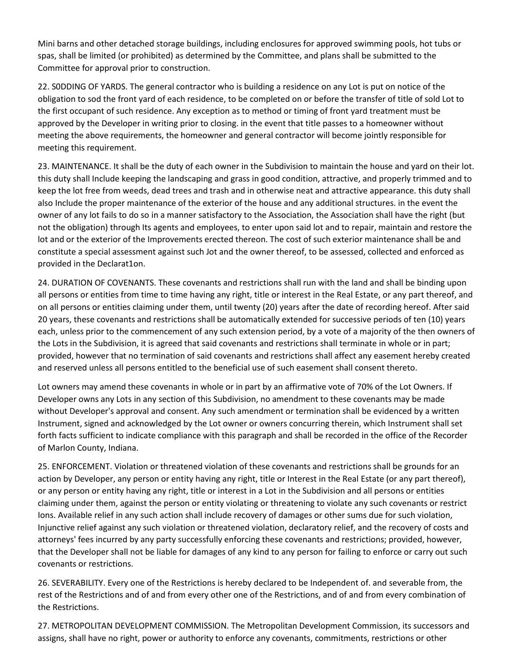Mini barns and other detached storage buildings, including enclosures for approved swimming pools, hot tubs or spas, shall be limited (or prohibited) as determined by the Committee, and plans shall be submitted to the Committee for approval prior to construction.

22. S0DDING OF YARDS. The general contractor who is building a residence on any Lot is put on notice of the obligation to sod the front yard of each residence, to be completed on or before the transfer of title of sold Lot to the first occupant of such residence. Any exception as to method or timing of front yard treatment must be approved by the Developer in writing prior to closing. in the event that title passes to a homeowner without meeting the above requirements, the homeowner and general contractor will become jointly responsible for meeting this requirement.

23. MAINTENANCE. It shall be the duty of each owner in the Subdivision to maintain the house and yard on their lot. this duty shall Include keeping the landscaping and grass in good condition, attractive, and properly trimmed and to keep the lot free from weeds, dead trees and trash and in otherwise neat and attractive appearance. this duty shall also Include the proper maintenance of the exterior of the house and any additional structures. in the event the owner of any lot fails to do so in a manner satisfactory to the Association, the Association shall have the right (but not the obligation) through Its agents and employees, to enter upon said lot and to repair, maintain and restore the lot and or the exterior of the Improvements erected thereon. The cost of such exterior maintenance shall be and constitute a special assessment against such Jot and the owner thereof, to be assessed, collected and enforced as provided in the Declarat1on.

24. DURATION OF COVENANTS. These covenants and restrictions shall run with the land and shall be binding upon all persons or entities from time to time having any right, title or interest in the Real Estate, or any part thereof, and on all persons or entities claiming under them, until twenty (20) years after the date of recording hereof. After said 20 years, these covenants and restrictions shall be automatically extended for successive periods of ten (10) years each, unless prior to the commencement of any such extension period, by a vote of a majority of the then owners of the Lots in the Subdivision, it is agreed that said covenants and restrictions shall terminate in whole or in part; provided, however that no termination of said covenants and restrictions shall affect any easement hereby created and reserved unless all persons entitled to the beneficial use of such easement shall consent thereto.

Lot owners may amend these covenants in whole or in part by an affirmative vote of 70% of the Lot Owners. If Developer owns any Lots in any section of this Subdivision, no amendment to these covenants may be made without Developer's approval and consent. Any such amendment or termination shall be evidenced by a written Instrument, signed and acknowledged by the Lot owner or owners concurring therein, which Instrument shall set forth facts sufficient to indicate compliance with this paragraph and shall be recorded in the office of the Recorder of Marlon County, Indiana.

25. ENFORCEMENT. Violation or threatened violation of these covenants and restrictions shall be grounds for an action by Developer, any person or entity having any right, title or Interest in the Real Estate (or any part thereof), or any person or entity having any right, title or interest in a Lot in the Subdivision and all persons or entities claiming under them, against the person or entity violating or threatening to violate any such covenants or restrict Ions. Available relief in any such action shall include recovery of damages or other sums due for such violation, Injunctive relief against any such violation or threatened violation, declaratory relief, and the recovery of costs and attorneys' fees incurred by any party successfully enforcing these covenants and restrictions; provided, however, that the Developer shall not be liable for damages of any kind to any person for failing to enforce or carry out such covenants or restrictions.

26. SEVERABILITY. Every one of the Restrictions is hereby declared to be Independent of. and severable from, the rest of the Restrictions and of and from every other one of the Restrictions, and of and from every combination of the Restrictions.

27. METROPOLITAN DEVELOPMENT COMMISSION. The Metropolitan Development Commission, its successors and assigns, shall have no right, power or authority to enforce any covenants, commitments, restrictions or other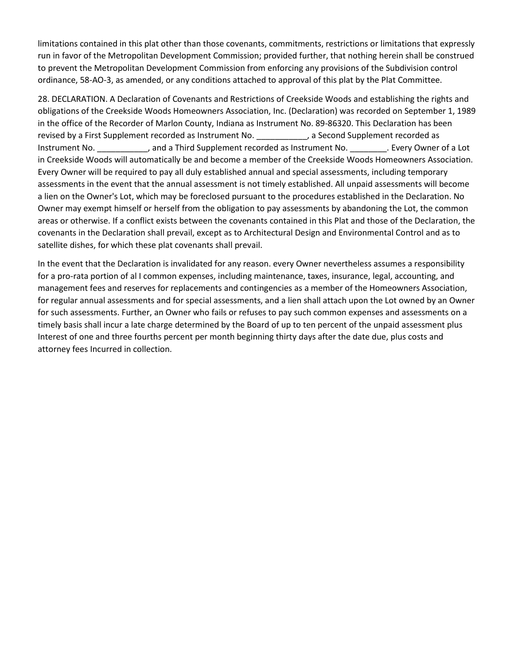limitations contained in this plat other than those covenants, commitments, restrictions or limitations that expressly run in favor of the Metropolitan Development Commission; provided further, that nothing herein shall be construed to prevent the Metropolitan Development Commission from enforcing any provisions of the Subdivision control ordinance, 58-AO-3, as amended, or any conditions attached to approval of this plat by the Plat Committee.

28. DECLARATION. A Declaration of Covenants and Restrictions of Creekside Woods and establishing the rights and obligations of the Creekside Woods Homeowners Association, Inc. (Declaration) was recorded on September 1, 1989 in the office of the Recorder of Marlon County, Indiana as Instrument No. 89-86320. This Declaration has been revised by a First Supplement recorded as Instrument No. \_\_\_\_\_\_\_\_\_\_\_, a Second Supplement recorded as Instrument No. **Example 2**, and a Third Supplement recorded as Instrument No. **Example 19 and a** Lot in Creekside Woods will automatically be and become a member of the Creekside Woods Homeowners Association. Every Owner will be required to pay all duly established annual and special assessments, including temporary assessments in the event that the annual assessment is not timely established. All unpaid assessments will become a lien on the Owner's Lot, which may be foreclosed pursuant to the procedures established in the Declaration. No Owner may exempt himself or herself from the obligation to pay assessments by abandoning the Lot, the common areas or otherwise. If a conflict exists between the covenants contained in this Plat and those of the Declaration, the covenants in the Declaration shall prevail, except as to Architectural Design and Environmental Control and as to satellite dishes, for which these plat covenants shall prevail.

In the event that the Declaration is invalidated for any reason. every Owner nevertheless assumes a responsibility for a pro-rata portion of al I common expenses, including maintenance, taxes, insurance, legal, accounting, and management fees and reserves for replacements and contingencies as a member of the Homeowners Association, for regular annual assessments and for special assessments, and a lien shall attach upon the Lot owned by an Owner for such assessments. Further, an Owner who fails or refuses to pay such common expenses and assessments on a timely basis shall incur a late charge determined by the Board of up to ten percent of the unpaid assessment plus Interest of one and three fourths percent per month beginning thirty days after the date due, plus costs and attorney fees Incurred in collection.